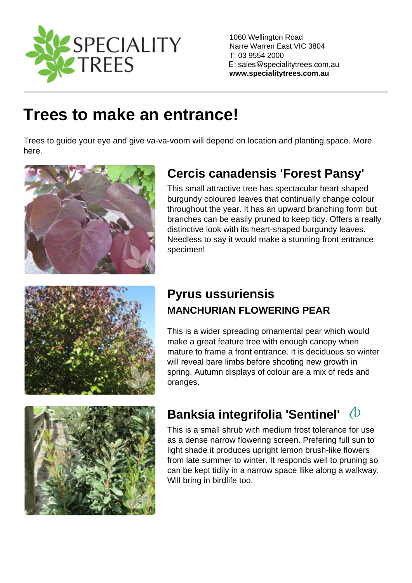1060 Wellington Road Narre Warren East VIC 3804 T: 03 9554 2000

www.specialitytrees.com.au

# [Trees to make an entrance!](https://www.specialitytrees.com.au/collections/trees-to-make-an-entrance-eljqc)

Trees to guide your eye and give va-va-voom will depend on location and planting space. More here.

## [Cercis canadensis 'Forest Pansy'](https://www.specialitytrees.com.au/trees/cercis-canadensis-forest-pansy-dfdcs)

This small attractive tree has spectacular heart shaped burgundy coloured leaves that continually change colour throughout the year. It has an upward branching form but branches can be easily pruned to keep tidy. Offers a really distinctive look with its heart-shaped burgundy leaves. Needless to say it would make a stunning front entrance specimen!

## [Pyrus ussuriensis](https://www.specialitytrees.com.au/trees/pyrus-ussuriensis-koxfh)  MANCHURIAN FLOWERING PEAR

This is a wider spreading ornamental pear which would make a great feature tree with enough canopy when mature to frame a front entrance. It is deciduous so winter will reveal bare limbs before shooting new growth in spring. Autumn displays of colour are a mix of reds and oranges.

## [Banksia integrifolia 'Sentinel'](https://www.specialitytrees.com.au/trees/banksia-integrifolia-sentinel-ywyn7)

This is a small shrub with medium frost tolerance for use as a dense narrow flowering screen. Prefering full sun to light shade it produces upright lemon brush-like flowers from late summer to winter. It responds well to pruning so can be kept tidily in a narrow space llike along a walkway. Will bring in birdlife too.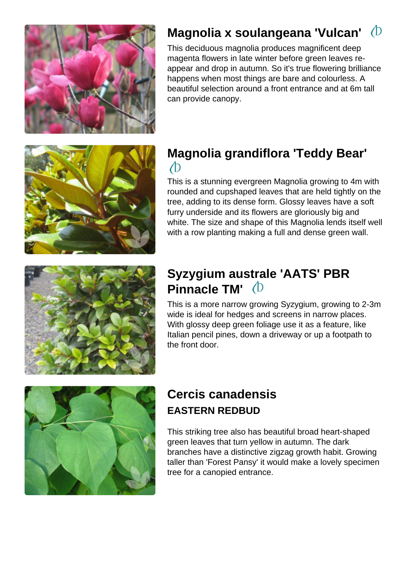#### [Magnolia x soulangeana 'Vulcan'](https://www.specialitytrees.com.au/trees/magnolia-x-soulangeana-vulcan-m3ljm)

This deciduous magnolia produces magnificent deep magenta flowers in late winter before green leaves reappear and drop in autumn. So it's true flowering brilliance happens when most things are bare and colourless. A beautiful selection around a front entrance and at 6m tall can provide canopy.

#### [Magnolia grandiflora 'Teddy Bear'](https://www.specialitytrees.com.au/trees/magnolia-grandiflora-teddy-bear-fm0hp)

This is a stunning evergreen Magnolia growing to 4m with rounded and cupshaped leaves that are held tightly on the tree, adding to its dense form. Glossy leaves have a soft furry underside and its flowers are gloriously big and white. The size and shape of this Magnolia lends itself well with a row planting making a full and dense green wall.

#### [Syzygium australe 'AATS' PBR](https://www.specialitytrees.com.au/trees/syzygium-australe-aats-pbr-pinnacle-tm-po6gz)  [Pinnacle TM'](https://www.specialitytrees.com.au/trees/syzygium-australe-aats-pbr-pinnacle-tm-po6gz)

This is a more narrow growing Syzygium, growing to 2-3m wide is ideal for hedges and screens in narrow places. With glossy deep green foliage use it as a feature, like Italian pencil pines, down a driveway or up a footpath to the front door.

## [Cercis canadensis](https://www.specialitytrees.com.au/trees/cercis-canadensis-cf4k7)  EASTERN REDBUD

This striking tree also has beautiful broad heart-shaped green leaves that turn yellow in autumn. The dark branches have a distinctive zigzag growth habit. Growing taller than 'Forest Pansy' it would make a lovely specimen tree for a canopied entrance.